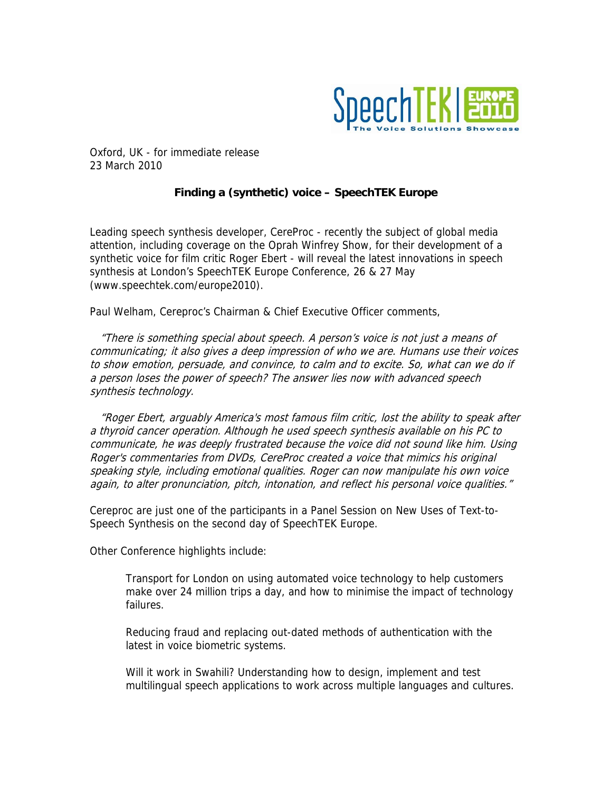

Oxford, UK - for immediate release 23 March 2010

## **Finding a (synthetic) voice – SpeechTEK Europe**

Leading speech synthesis developer, CereProc - recently the subject of global media attention, including coverage on the Oprah Winfrey Show, for their development of a synthetic voice for film critic Roger Ebert - will reveal the latest innovations in speech synthesis at London's SpeechTEK Europe Conference, 26 & 27 May (www.speechtek.com/europe2010).

Paul Welham, Cereproc's Chairman & Chief Executive Officer comments,

 "There is something special about speech. A person's voice is not just a means of communicating; it also gives a deep impression of who we are. Humans use their voices to show emotion, persuade, and convince, to calm and to excite. So, what can we do if a person loses the power of speech? The answer lies now with advanced speech synthesis technology.

 "Roger Ebert, arguably America's most famous film critic, lost the ability to speak after a thyroid cancer operation. Although he used speech synthesis available on his PC to communicate, he was deeply frustrated because the voice did not sound like him. Using Roger's commentaries from DVDs, CereProc created a voice that mimics his original speaking style, including emotional qualities. Roger can now manipulate his own voice again, to alter pronunciation, pitch, intonation, and reflect his personal voice qualities."

Cereproc are just one of the participants in a Panel Session on New Uses of Text-to-Speech Synthesis on the second day of SpeechTEK Europe.

Other Conference highlights include:

Transport for London on using automated voice technology to help customers make over 24 million trips a day, and how to minimise the impact of technology failures.

Reducing fraud and replacing out-dated methods of authentication with the latest in voice biometric systems.

Will it work in Swahili? Understanding how to design, implement and test multilingual speech applications to work across multiple languages and cultures.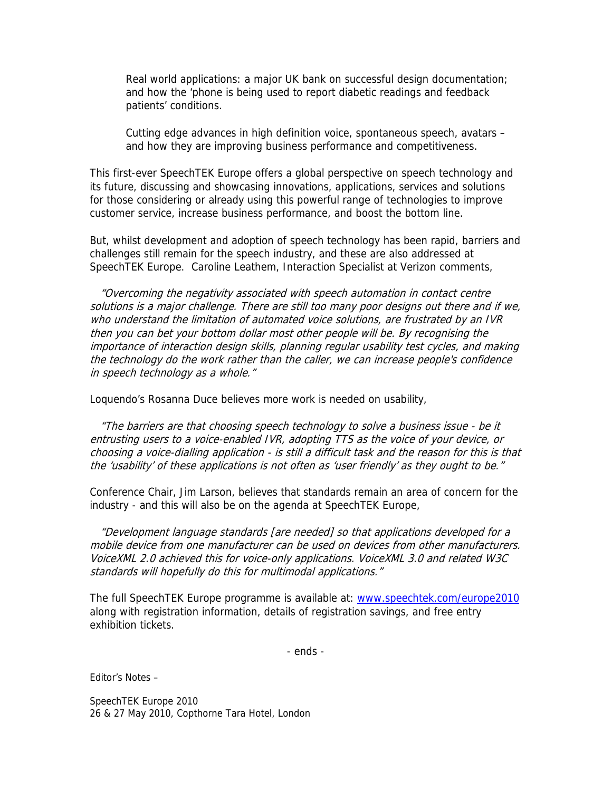Real world applications: a major UK bank on successful design documentation; and how the 'phone is being used to report diabetic readings and feedback patients' conditions.

Cutting edge advances in high definition voice, spontaneous speech, avatars – and how they are improving business performance and competitiveness.

This first-ever SpeechTEK Europe offers a global perspective on speech technology and its future, discussing and showcasing innovations, applications, services and solutions for those considering or already using this powerful range of technologies to improve customer service, increase business performance, and boost the bottom line.

But, whilst development and adoption of speech technology has been rapid, barriers and challenges still remain for the speech industry, and these are also addressed at SpeechTEK Europe. Caroline Leathem, Interaction Specialist at Verizon comments,

 "Overcoming the negativity associated with speech automation in contact centre solutions is a major challenge. There are still too many poor designs out there and if we, who understand the limitation of automated voice solutions, are frustrated by an IVR then you can bet your bottom dollar most other people will be. By recognising the importance of interaction design skills, planning regular usability test cycles, and making the technology do the work rather than the caller, we can increase people's confidence in speech technology as a whole."

Loquendo's Rosanna Duce believes more work is needed on usability,

 "The barriers are that choosing speech technology to solve a business issue - be it entrusting users to a voice-enabled IVR, adopting TTS as the voice of your device, or choosing a voice-dialling application - is still a difficult task and the reason for this is that the 'usability' of these applications is not often as 'user friendly' as they ought to be."

Conference Chair, Jim Larson, believes that standards remain an area of concern for the industry - and this will also be on the agenda at SpeechTEK Europe,

 "Development language standards [are needed] so that applications developed for a mobile device from one manufacturer can be used on devices from other manufacturers. VoiceXML 2.0 achieved this for voice-only applications. VoiceXML 3.0 and related W3C standards will hopefully do this for multimodal applications."

The full SpeechTEK Europe programme is available at: [www.speechtek.com/europe2010](http://www.speechtek.com/europe2010) along with registration information, details of registration savings, and free entry exhibition tickets.

- ends -

Editor's Notes –

SpeechTEK Europe 2010 26 & 27 May 2010, Copthorne Tara Hotel, London